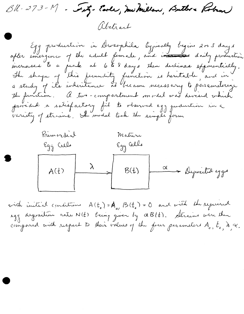- Fetz- Carle, me Millan, Butbre Koban)  $Bl - 273 - M$ altract

Egg production in Drosophila typically begins 2003 days after energince of the adult female, and increased daily production increases te a peak at 6 to 8 days then declines exponentially. The shape of this fecundity function is heretable, and in a study of ils inheritance si became necessary to perameterize the function. A two-compartment model was devised which provided a satisfactory fil to observed egg judicícion in a



with initial conditions  $A(t_{0}) = A_{0}$ ,  $B(t_{0}) = 0$  and with the required agg dependion rate  $N(t)$  being given by  $\alpha B(t)$ . Strains were then compared with respect to their values of the four parameters  $A_{o}$ ,  $t_{o}$ ,  $\lambda$ ,  $\alpha$ .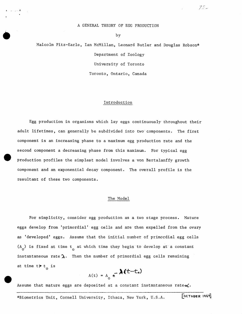## A GENERAL THEORY OF EGG PRODUCTION

by

•

Malcolm Fitz-Earle, Ian McMillan, Leonard Butler and Douglas Robson\* Department of Zoology University of Toronto Toronto, Ontario, Canada

#### Introduction

Egg production in organisms which lay eggs continuously throughout their adult lifetimes, can generally be subdivided into two components. The first component is an increasing phase to a maximum egg production rate and the second component a decreasing phase from this maximum. For typical egg production profiles the simplest model involves a von Bertalanffy growth component and an exponential decay component. The overall profile is the resultant of these two components.

#### The Model

For simplicity, consider egg production as a two stage process. Mature eggs develop from 'primordial' egg cells and are then expelled from the ovary as 'developed' eggs. Assume that the initial number of primordial egg cells  $(A_0)$  is fixed at time t<sub>o</sub> at which time they begin to develop at a constant instantaneous rate  $\lambda$ . Then the number of primordial egg cells remaining at time  $t > t_0$  is

$$
A(t) = A_0 e^{-\lambda (t - t_0)}
$$

Assume that mature eggs are deposited at a constant instantaneous rate $\alpha'$ .

\*Biometrics Unit, Cornell University, Ithaca, New York, U.S.A.

 $[0.506666]$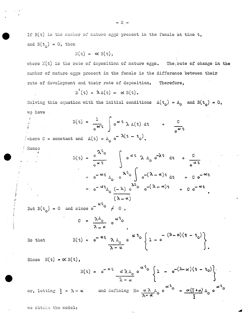If  $B(t)$  is the number of mature eggs present in the female at time t, and  $B(t_0) = 0$ , then

$$
\mathbb{N}(\mathbf{t}) = \alpha \mathbb{B}(\mathbf{t}),
$$

where  $N(t)$  is the rate of deposition of mature eggs. The rate of change in the number of mature eggs present in the female is the difference between their rate of development and their rate of deposition. Therefore,

 $B' (t) = \lambda \Lambda(t) - \alpha B(t)$ .

Solving this equation with the initial conditions  $A(t_0) = A_0$  and  $B(t_0) = 0$ , we have

$$
B(t) = \frac{1}{e^{\alpha t}} \int e^{\alpha t} \lambda A(t) dt + \frac{C}{e^{\alpha t}}
$$
  
and  $A(t) = A e^{-\lambda (t - t_0)}$ .

where  $C = constant$ 

$$
B(t) = \frac{e^{\lambda t} e}{e^{\alpha t}} \int e^{\alpha t} \lambda A_0 e^{-\lambda t} dt + \frac{C}{e^{\alpha t}}
$$
  

$$
= e^{-\alpha t} A_0 e^{\lambda t} \int e^{-(\lambda - \alpha)t} dt + C e^{-\alpha t}
$$
  

$$
= e^{-\alpha t} A_0 \frac{(-\lambda) e}{(\lambda - \alpha)} e^{-(\lambda - \alpha)t} + C e^{-\alpha t}
$$

But  $B(t_0) = 0$  and since  $e^{-\alpha t}$   $\varphi$   $\neq 0$ ,

 $B($ 

$$
C = \frac{\lambda_{\rho}}{\lambda - \alpha} e^{\alpha \tau} \cdot \frac{\lambda_{\rho}}{\lambda - \alpha} e^{\alpha \tau} \cdot \frac{\lambda_{\rho}}{\lambda - \alpha} e^{\alpha \tau} \cdot \frac{\lambda_{\rho}}{\lambda - \alpha} e^{\alpha \tau} \cdot \frac{\lambda_{\rho}}{\lambda - \alpha} e^{\alpha \tau} \cdot \frac{\lambda_{\rho}}{\lambda - \alpha}.
$$

So that

Henco

Since 
$$
N(t) = \alpha B(t)
$$
,

$$
N(t) = e^{-\alpha t} \frac{\alpha \lambda A_0}{\lambda - \alpha} e^{\alpha t} \left\{ 1 - e^{-(\lambda - \alpha)(t - t_0)} \right\}
$$
  
and defining  $M = \alpha \lambda A_0 e^{\alpha t_0} = \alpha (\xi + \alpha) A_0 e^{\alpha t_0}$ 

ξ

 $\lambda - \alpha$ 

we obtain the model:

or, letting  $\xi = \lambda -$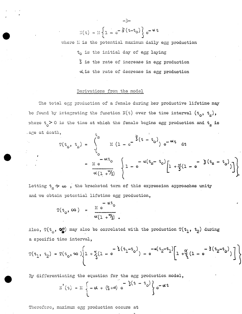$$
\mathbb{N}(\mathbf{t}) = \mathbb{N}\left\{1 - e^{-\frac{S}{S}\left(\mathbf{t} - \mathbf{t}_0\right)}\right\} e^{-\mathbf{t} \cdot \mathbf{t}}
$$

-3-

where  $M$  is the potential maximum daily egg production  ${\tt t}_{\tt O}$  is the initial day of egg laying *s* is the rate of increase in egg production dis the rate of decrease in egg production

## Derivations from the model

The total egg production of a female during her productive lifetime may be found by integrating the function  $N(t)$  over the time interval  $(t_0, t_s)$ , where  $t \geq 0$  is the time at which the female begins egg production and  $t_{\rm g}$  is . age at death,

$$
T(t_{0}, t_{s}) = \int_{t_{0}}^{t_{s}} M (1 - e^{-\frac{1}{3}(t - t_{0})}) e^{-\alpha t} dt
$$
  

$$
= M e^{-\alpha t_{0}} \left\{ 1 - e^{-\alpha (t_{s} - t_{0})} \left[ 1 + \frac{\alpha}{3}(1 - e^{-\frac{1}{3}(t_{s} - t_{0})}) \right] \right\}
$$

Letting  $t_{\rm g} \rightarrow \infty$  , the bracketed term of this expression approaches unity and we obtain potential lifetime egg production,

$$
T(t_0, \infty) = \frac{M e^{-\alpha t_0}}{\alpha (1 + \frac{\alpha}{3})}.
$$

Also,  $T(t_0, ~\mathbf{\mathcal{Q}})$  may also be correlated with the production  $T(t_1, ~t_2)$  during a specific time interval,

$$
T(t_1, t_2) = T(t_0, \infty) \left[ 1 + \frac{\alpha}{3} (1 - e^{-\frac{1}{3}(t_1 - t_0)}) - e^{-\alpha(t_2 - t_1)} \left[ 1 + \frac{\alpha}{3} (1 - e^{-\frac{1}{3}(t_2 - t_0)}) \right] \right]
$$

By differentiating the equation for the egg production model,

$$
N'(t) = M \left\{-\alpha + (\xi + \alpha) e^{-\frac{1}{3}(t - t_0)} \right\} e^{-\alpha t}
$$

Therofore, maximum egg production occurs at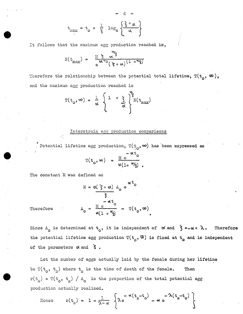$$
t_{\text{max}} = t_0 + \frac{1}{3} \log_{\theta} \left\{ \frac{\frac{2}{3} + \alpha}{\alpha} \right\}
$$

It follows that the maximum egg production reached is,

$$
N(t_{\text{max}}) = \frac{M \sum_{\alpha}^{3} \alpha^{2} \sum_{j=1}^{3} (1 + \alpha^{2})}{\alpha^{2} \sum_{j=1}^{3} (\sum_{j=1}^{3} + \alpha^{2})}
$$

Therefore the relationship between the potential total lifetime,  $T(t_0, \infty)$ , and the maximum egg production reached is

$$
T(t_0, \infty) = \frac{1}{\alpha} \left\{ 1 + \frac{1}{\alpha} \int_{\alpha}^{\alpha} N(t_{\text{max}})
$$

# Interstrain egg production comparisons

Potential lifetime egg production,  $T({t_{c}^{*}}, \infty)$  has been expressed as

$$
T(t_0, \infty) = \frac{M e^{-\alpha t_0}}{\alpha (1 + \alpha / \xi)}.
$$

The constant M was defined as

Therefore 
$$
M = \alpha(\frac{3}{3} + \alpha) A_0 e^{\alpha t} 0
$$

$$
= \frac{1}{3} \alpha t_0
$$

$$
A_0 = \frac{M e^{\alpha t}}{\alpha(1 + \alpha)}
$$

$$
= T(t_0, \infty)
$$

Since  $A_{\circ}$  is determined at  $t_{\circ}$ , it is independent of  $\alpha$  and  $\beta = -\alpha + \lambda$ . Therefore the potential lifetime egg production  $T(t_0, \mathcal{W})$  is fixed at  $t_0$  and is independent of the parameters  $\alpha$  and  $\delta$ .

,.

Let the number of eggs actually laid by the female during her lifetime be  $T(t_o, t_s)$  where  $t_s$  is the time of death of the female. Then  $r(t_s) = T(t_o, t_s) / A_o$  is the proportion of the total potential egg production actually realised.

Hence 
$$
r(t_s) = 1 - \frac{1}{\lambda - \alpha} \left\{ \lambda e^{-\alpha (t_s - t_o)} - \alpha e^{-\lambda (t_s - t_o)} \right\}
$$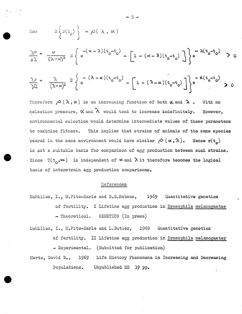Now 
$$
E\left\{x(\tau_{\alpha})\right\} = \rho(\lambda, \alpha)
$$

$$
\frac{\partial \rho}{\partial \lambda} = \frac{\alpha}{(\lambda - \alpha)^{\alpha}} \sum_{\mathbb{E}_{\alpha}} \left\{ e^{-(\alpha - \lambda)(\dot{t}_{\mathbb{S}} - \dot{t}_{0})} - \left[1 - (\alpha - \lambda)(t_{\mathbb{S}} - t_{0})\right] \right\} e^{-\lambda(\dot{t}_{\mathbb{S}} - \dot{t}_{0})} > 0
$$

$$
\frac{\partial \rho}{\partial \alpha} = \frac{\lambda}{(\lambda - \alpha)^2} \mathbb{E} \left\{ e^{-(\lambda - \alpha)(t_s - t_o)} - \left[ 1 - (\lambda - \alpha)(t_s - t_o) \right] \right\} e^{-\alpha (t_s - t_o)} \ge 0
$$

Therefore  $\rho(\lambda, \alpha)$  is an increasing function of both  $\alpha$  and  $\lambda$ . With no selection pressure,  $\propto$  and  $\lambda$  would tend to increase indefinitely. However, environmental selection would determine intermediate values of' these parameters to maximize fitness. This implies that strains of animals of the same species reared in the same environment would have similar  $\rho$  ( $\alpha,\lambda$ ). Hence  $r(t_{c})$ is not a suitable basis for comparison of egg production between such strains. - Since  $T(t_0, \infty)$  is independent of  $\infty$  and  $\lambda$  it therefore becomes the logical basis of interstrain egg production comparisons.

### References

McMillan, I., M.Fitz-Earle and D.S.Robson, 1969 Quantitative genetics of fertility. I Lifetime egg production in Drosophila melanogaster - Theoretical. GENETICS (In press)

J·

- McMillan, I., M.Fitz-Earle and L.Butler, 1969 Quantitative genetics of fertility. II Lifetime egg production in Drosophila melanogaster - Experimental. (Submitted for publication)
- Mertz, David B., 1969 Life History Phenomena in Increasing and Decreasing Populations. Unpublished MS 39 pp.

- 5 -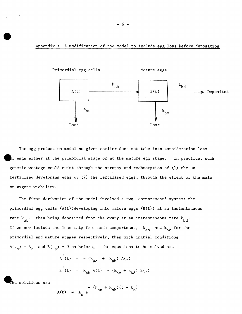Appendix : A modification of the model to include egg loss before deposition



The egg production model as given earlier does not take into consideration loss  $\mathbf b$ f eggs either at the primordial stage or at the mature egg stage. In practice, such genetic wastage could exist through the atrophy and reabsorption of (1) the unfertilised developing eggs or (2) the fertilised eggs, through the effect of the male on zygote viability.

The first derivation of the model involved a two 'compartment' system: the primordial egg cells (A(t))developing into mature eggs (B(t)) at an instantaneous rate  $k_{ab}$ , then being deposited from the ovary at an instantaneous rate  $k_{bd}$ . If we now include the loss rate from each compartment,  $k_{\text{ao}}$  and  $k_{\text{bo}}$  for the primordial and mature stages respectively, then with initial conditions  $A(t_0) = A_0$  and  $B(t_0) = 0$  as before, the equations to be solved are

$$
A'(t) = -(k_{ao} + k_{ab}) A(t)
$$
  
 $B'(t) = k_{ab} A(t) - (k_{bo} + k_{bd}) B(t)$ 

The solutions are

$$
A(t) = A_0 e^{-(k_{av} + k_{ab})(t - t_0)}
$$